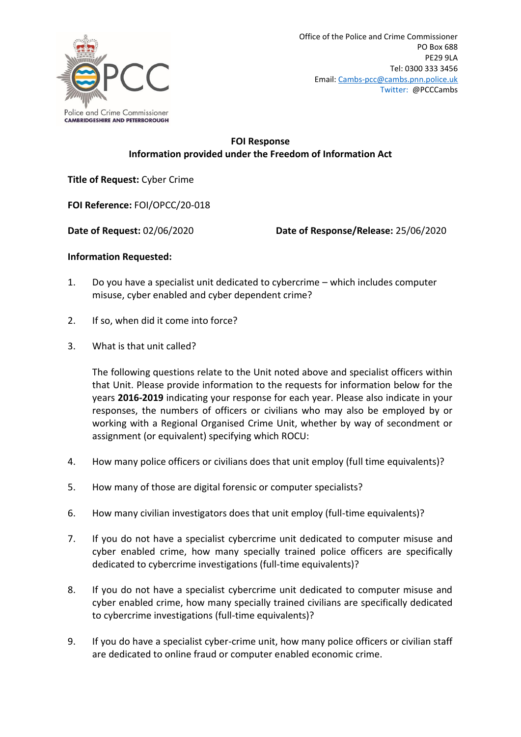

## **FOI Response Information provided under the Freedom of Information Act**

**Title of Request:** Cyber Crime

**FOI Reference:** FOI/OPCC/20-018

**Date of Request:** 02/06/2020 **Date of Response/Release:** 25/06/2020

## **Information Requested:**

- 1. Do you have a specialist unit dedicated to cybercrime which includes computer misuse, cyber enabled and cyber dependent crime?
- 2. If so, when did it come into force?
- 3. What is that unit called?

The following questions relate to the Unit noted above and specialist officers within that Unit. Please provide information to the requests for information below for the years **2016-2019** indicating your response for each year. Please also indicate in your responses, the numbers of officers or civilians who may also be employed by or working with a Regional Organised Crime Unit, whether by way of secondment or assignment (or equivalent) specifying which ROCU:

- 4. How many police officers or civilians does that unit employ (full time equivalents)?
- 5. How many of those are digital forensic or computer specialists?
- 6. How many civilian investigators does that unit employ (full-time equivalents)?
- 7. If you do not have a specialist cybercrime unit dedicated to computer misuse and cyber enabled crime, how many specially trained police officers are specifically dedicated to cybercrime investigations (full-time equivalents)?
- 8. If you do not have a specialist cybercrime unit dedicated to computer misuse and cyber enabled crime, how many specially trained civilians are specifically dedicated to cybercrime investigations (full-time equivalents)?
- 9. If you do have a specialist cyber-crime unit, how many police officers or civilian staff are dedicated to online fraud or computer enabled economic crime.